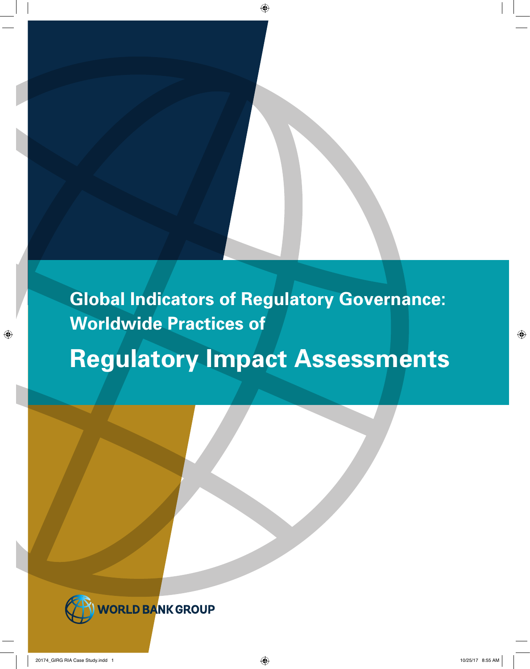**Global Indicators of Regulatory Governance: Worldwide Practices of Regulatory Impact Assessments**

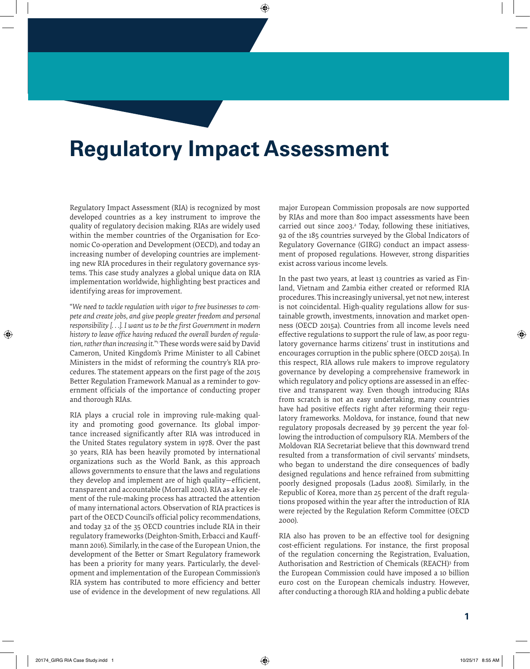# **Regulatory Impact Assessment**

Regulatory Impact Assessment (RIA) is recognized by most developed countries as a key instrument to improve the quality of regulatory decision making. RIAs are widely used within the member countries of the Organisation for Economic Co-operation and Development (OECD), and today an increasing number of developing countries are implementing new RIA procedures in their regulatory governance systems. This case study analyzes a global unique data on RIA implementation worldwide, highlighting best practices and identifying areas for improvement.

"*We need to tackle regulation with vigor to free businesses to compete and create jobs, and give people greater freedom and personal responsibility [. . .]. I want us to be the first Government in modern history to leave office having reduced the overall burden of regulation, rather than increasing it.*"1 These words were said by David Cameron, United Kingdom's Prime Minister to all Cabinet Ministers in the midst of reforming the country's RIA procedures. The statement appears on the first page of the 2015 Better Regulation Framework Manual as a reminder to government officials of the importance of conducting proper and thorough RIAs.

RIA plays a crucial role in improving rule-making quality and promoting good governance. Its global importance increased significantly after RIA was introduced in the United States regulatory system in 1978. Over the past 30 years, RIA has been heavily promoted by international organizations such as the World Bank, as this approach allows governments to ensure that the laws and regulations they develop and implement are of high quality—efficient, transparent and accountable (Morrall 2001). RIA as a key element of the rule-making process has attracted the attention of many international actors. Observation of RIA practices is part of the OECD Council's official policy recommendations, and today 32 of the 35 OECD countries include RIA in their regulatory frameworks (Deighton-Smith, Erbacci and Kauffmann 2016). Similarly, in the case of the European Union, the development of the Better or Smart Regulatory framework has been a priority for many years. Particularly, the development and implementation of the European Commission's RIA system has contributed to more efficiency and better use of evidence in the development of new regulations. All

major European Commission proposals are now supported by RIAs and more than 800 impact assessments have been carried out since 2003.<sup>2</sup> Today, following these initiatives, 92 of the 185 countries surveyed by the Global Indicators of Regulatory Governance (GIRG) conduct an impact assessment of proposed regulations. However, strong disparities exist across various income levels.

In the past two years, at least 13 countries as varied as Finland, Vietnam and Zambia either created or reformed RIA procedures. This increasingly universal, yet not new, interest is not coincidental. High-quality regulations allow for sustainable growth, investments, innovation and market openness (OECD 2015a). Countries from all income levels need effective regulations to support the rule of law, as poor regulatory governance harms citizens' trust in institutions and encourages corruption in the public sphere (OECD 2015a). In this respect, RIA allows rule makers to improve regulatory governance by developing a comprehensive framework in which regulatory and policy options are assessed in an effective and transparent way. Even though introducing RIAs from scratch is not an easy undertaking, many countries have had positive effects right after reforming their regulatory frameworks. Moldova, for instance, found that new regulatory proposals decreased by 39 percent the year following the introduction of compulsory RIA. Members of the Moldovan RIA Secretariat believe that this downward trend resulted from a transformation of civil servants' mindsets, who began to understand the dire consequences of badly designed regulations and hence refrained from submitting poorly designed proposals (Ladus 2008). Similarly, in the Republic of Korea, more than 25 percent of the draft regulations proposed within the year after the introduction of RIA were rejected by the Regulation Reform Committee (OECD 2000).

RIA also has proven to be an effective tool for designing cost-efficient regulations. For instance, the first proposal of the regulation concerning the Registration, Evaluation, Authorisation and Restriction of Chemicals (REACH)3 from the European Commission could have imposed a 10 billion euro cost on the European chemicals industry. However, after conducting a thorough RIA and holding a public debate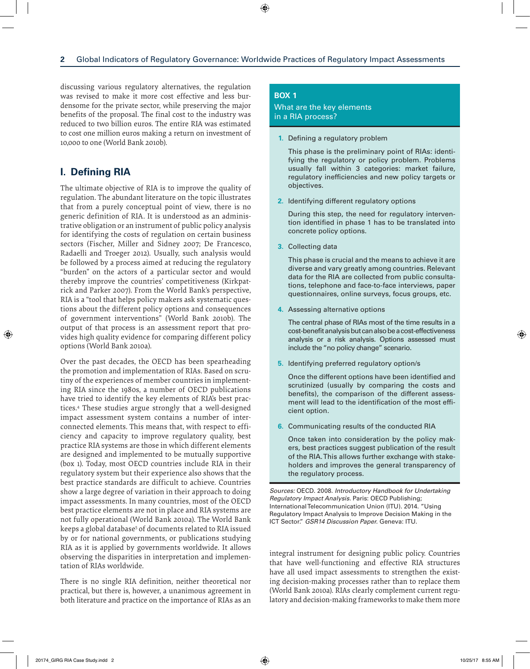discussing various regulatory alternatives, the regulation was revised to make it more cost effective and less burdensome for the private sector, while preserving the major benefits of the proposal. The final cost to the industry was reduced to two billion euros. The entire RIA was estimated to cost one million euros making a return on investment of 10,000 to one (World Bank 2010b).

# **I. Defining RIA**

The ultimate objective of RIA is to improve the quality of regulation. The abundant literature on the topic illustrates that from a purely conceptual point of view, there is no generic definition of RIA. It is understood as an administrative obligation or an instrument of public policy analysis for identifying the costs of regulation on certain business sectors (Fischer, Miller and Sidney 2007; De Francesco, Radaelli and Troeger 2012). Usually, such analysis would be followed by a process aimed at reducing the regulatory "burden" on the actors of a particular sector and would thereby improve the countries' competitiveness (Kirkpatrick and Parker 2007). From the World Bank's perspective, RIA is a "tool that helps policy makers ask systematic questions about the different policy options and consequences of government interventions" (World Bank 2010b). The output of that process is an assessment report that provides high quality evidence for comparing different policy options (World Bank 2010a).

Over the past decades, the OECD has been spearheading the promotion and implementation of RIAs. Based on scrutiny of the experiences of member countries in implementing RIA since the 1980s, a number of OECD publications have tried to identify the key elements of RIA's best practices.4 These studies argue strongly that a well-designed impact assessment system contains a number of interconnected elements. This means that, with respect to efficiency and capacity to improve regulatory quality, best practice RIA systems are those in which different elements are designed and implemented to be mutually supportive (box 1). Today, most OECD countries include RIA in their regulatory system but their experience also shows that the best practice standards are difficult to achieve. Countries show a large degree of variation in their approach to doing impact assessments. In many countries, most of the OECD best practice elements are not in place and RIA systems are not fully operational (World Bank 2010a). The World Bank keeps a global database<sup>5</sup> of documents related to RIA issued by or for national governments, or publications studying RIA as it is applied by governments worldwide. It allows observing the disparities in interpretation and implementation of RIAs worldwide.

There is no single RIA definition, neither theoretical nor practical, but there is, however, a unanimous agreement in both literature and practice on the importance of RIAs as an

## **Box 1**

What are the key elements in a RIA process?

**1.** Defining a regulatory problem

This phase is the preliminary point of RIAs: identifying the regulatory or policy problem. Problems usually fall within 3 categories: market failure, regulatory inefficiencies and new policy targets or objectives.

**2.** Identifying different regulatory options

During this step, the need for regulatory intervention identified in phase 1 has to be translated into concrete policy options.

**3.** Collecting data

This phase is crucial and the means to achieve it are diverse and vary greatly among countries. Relevant data for the RIA are collected from public consultations, telephone and face-to-face interviews, paper questionnaires, online surveys, focus groups, etc.

**4.** Assessing alternative options

The central phase of RIAs most of the time results in a cost-benefit analysis but can also be a cost-effectiveness analysis or a risk analysis. Options assessed must include the "no policy change" scenario.

**5.** Identifying preferred regulatory option/s

Once the different options have been identified and scrutinized (usually by comparing the costs and benefits), the comparison of the different assessment will lead to the identification of the most efficient option.

**6.** Communicating results of the conducted RIA

Once taken into consideration by the policy makers, best practices suggest publication of the result of the RIA. This allows further exchange with stakeholders and improves the general transparency of the regulatory process.

*Sources:* OECD. 2008. *Introductory Handbook for Undertaking Regulatory Impact Analysis.* Paris: OECD Publishing; International Telecommunication Union (ITU). 2014. "Using Regulatory Impact Analysis to Improve Decision Making in the ICT Sector." *GSR14 Discussion Paper.* Geneva: ITU.

integral instrument for designing public policy. Countries that have well-functioning and effective RIA structures have all used impact assessments to strengthen the existing decision-making processes rather than to replace them (World Bank 2010a). RIAs clearly complement current regulatory and decision-making frameworks to make them more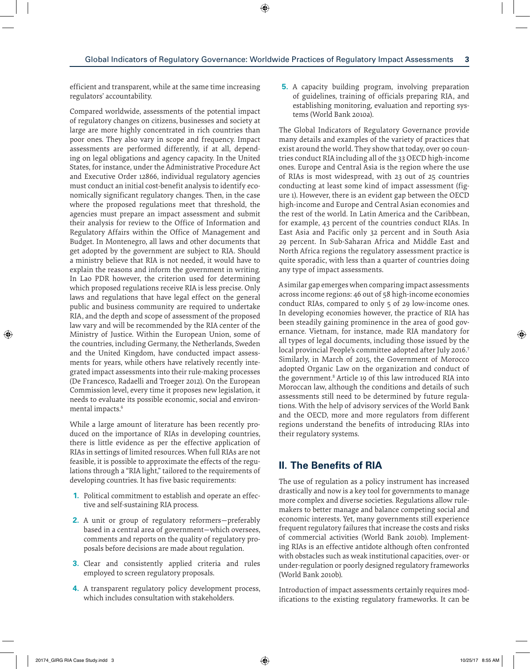efficient and transparent, while at the same time increasing regulators' accountability.

Compared worldwide, assessments of the potential impact of regulatory changes on citizens, businesses and society at large are more highly concentrated in rich countries than poor ones. They also vary in scope and frequency. Impact assessments are performed differently, if at all, depending on legal obligations and agency capacity. In the United States, for instance, under the Administrative Procedure Act and Executive Order 12866, individual regulatory agencies must conduct an initial cost-benefit analysis to identify economically significant regulatory changes. Then, in the case where the proposed regulations meet that threshold, the agencies must prepare an impact assessment and submit their analysis for review to the Office of Information and Regulatory Affairs within the Office of Management and Budget. In Montenegro, all laws and other documents that get adopted by the government are subject to RIA. Should a ministry believe that RIA is not needed, it would have to explain the reasons and inform the government in writing. In Lao PDR however, the criterion used for determining which proposed regulations receive RIA is less precise. Only laws and regulations that have legal effect on the general public and business community are required to undertake RIA, and the depth and scope of assessment of the proposed law vary and will be recommended by the RIA center of the Ministry of Justice. Within the European Union, some of the countries, including Germany, the Netherlands, Sweden and the United Kingdom, have conducted impact assessments for years, while others have relatively recently integrated impact assessments into their rule-making processes (De Francesco, Radaelli and Troeger 2012). On the European Commission level, every time it proposes new legislation, it needs to evaluate its possible economic, social and environmental impacts.<sup>6</sup>

While a large amount of literature has been recently produced on the importance of RIAs in developing countries, there is little evidence as per the effective application of RIAs in settings of limited resources. When full RIAs are not feasible, it is possible to approximate the effects of the regulations through a "RIA light," tailored to the requirements of developing countries. It has five basic requirements:

- **1.** Political commitment to establish and operate an effective and self-sustaining RIA process.
- **2.** A unit or group of regulatory reformers—preferably based in a central area of government—which oversees, comments and reports on the quality of regulatory proposals before decisions are made about regulation.
- **3.** Clear and consistently applied criteria and rules employed to screen regulatory proposals.
- **4.** A transparent regulatory policy development process, which includes consultation with stakeholders.

**5.** A capacity building program, involving preparation of guidelines, training of officials preparing RIA, and establishing monitoring, evaluation and reporting systems (World Bank 2010a).

The Global Indicators of Regulatory Governance provide many details and examples of the variety of practices that exist around the world. They show that today, over 90 countries conduct RIA including all of the 33 OECD high-income ones. Europe and Central Asia is the region where the use of RIAs is most widespread, with 23 out of 25 countries conducting at least some kind of impact assessment (figure 1). However, there is an evident gap between the OECD high-income and Europe and Central Asian economies and the rest of the world. In Latin America and the Caribbean, for example, 43 percent of the countries conduct RIAs. In East Asia and Pacific only 32 percent and in South Asia 29 percent. In Sub-Saharan Africa and Middle East and North Africa regions the regulatory assessment practice is quite sporadic, with less than a quarter of countries doing any type of impact assessments.

A similar gap emerges when comparing impact assessments across income regions: 46 out of 58 high-income economies conduct RIAs, compared to only 5 of 29 low-income ones. In developing economies however, the practice of RIA has been steadily gaining prominence in the area of good governance. Vietnam, for instance, made RIA mandatory for all types of legal documents, including those issued by the local provincial People's committee adopted after July 2016.<sup>7</sup> Similarly, in March of 2015, the Government of Morocco adopted Organic Law on the organization and conduct of the government.8 Article 19 of this law introduced RIA into Moroccan law, although the conditions and details of such assessments still need to be determined by future regulations. With the help of advisory services of the World Bank and the OECD, more and more regulators from different regions understand the benefits of introducing RIAs into their regulatory systems.

# **II. The Benefits of RIA**

The use of regulation as a policy instrument has increased drastically and now is a key tool for governments to manage more complex and diverse societies. Regulations allow rulemakers to better manage and balance competing social and economic interests. Yet, many governments still experience frequent regulatory failures that increase the costs and risks of commercial activities (World Bank 2010b). Implementing RIAs is an effective antidote although often confronted with obstacles such as weak institutional capacities, over- or under-regulation or poorly designed regulatory frameworks (World Bank 2010b).

Introduction of impact assessments certainly requires modifications to the existing regulatory frameworks. It can be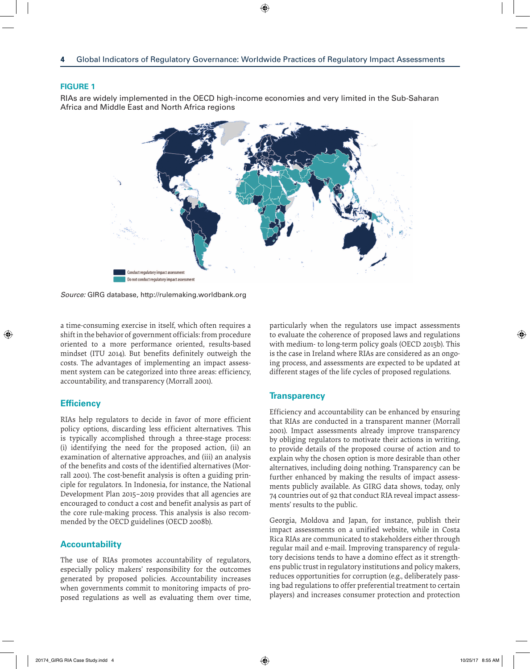RIAs are widely implemented in the OECD high-income economies and very limited in the Sub-Saharan Africa and Middle East and North Africa regions



*Source:* GIRG database,<http://rulemaking.worldbank.org>

a time-consuming exercise in itself, which often requires a shift in the behavior of government officials: from procedure oriented to a more performance oriented, results-based mindset (ITU 2014). But benefits definitely outweigh the costs. The advantages of implementing an impact assessment system can be categorized into three areas: efficiency, accountability, and transparency (Morrall 2001).

## **Efficiency**

RIAs help regulators to decide in favor of more efficient policy options, discarding less efficient alternatives. This is typically accomplished through a three-stage process: (i) identifying the need for the proposed action, (ii) an examination of alternative approaches, and (iii) an analysis of the benefits and costs of the identified alternatives (Morrall 2001). The cost-benefit analysis is often a guiding principle for regulators. In Indonesia, for instance, the National Development Plan 2015–2019 provides that all agencies are encouraged to conduct a cost and benefit analysis as part of the core rule-making process. This analysis is also recommended by the OECD guidelines (OECD 2008b).

## **Accountability**

The use of RIAs promotes accountability of regulators, especially policy makers' responsibility for the outcomes generated by proposed policies. Accountability increases when governments commit to monitoring impacts of proposed regulations as well as evaluating them over time, particularly when the regulators use impact assessments to evaluate the coherence of proposed laws and regulations with medium- to long-term policy goals (OECD 2015b). This is the case in Ireland where RIAs are considered as an ongoing process, and assessments are expected to be updated at different stages of the life cycles of proposed regulations.

## **Transparency**

Efficiency and accountability can be enhanced by ensuring that RIAs are conducted in a transparent manner (Morrall 2001). Impact assessments already improve transparency by obliging regulators to motivate their actions in writing, to provide details of the proposed course of action and to explain why the chosen option is more desirable than other alternatives, including doing nothing. Transparency can be further enhanced by making the results of impact assessments publicly available. As GIRG data shows, today, only 74 countries out of 92 that conduct RIA reveal impact assessments' results to the public.

Georgia, Moldova and Japan, for instance, publish their impact assessments on a unified website, while in Costa Rica RIAs are communicated to stakeholders either through regular mail and e-mail. Improving transparency of regulatory decisions tends to have a domino effect as it strengthens public trust in regulatory institutions and policy makers, reduces opportunities for corruption (e.g., deliberately passing bad regulations to offer preferential treatment to certain players) and increases consumer protection and protection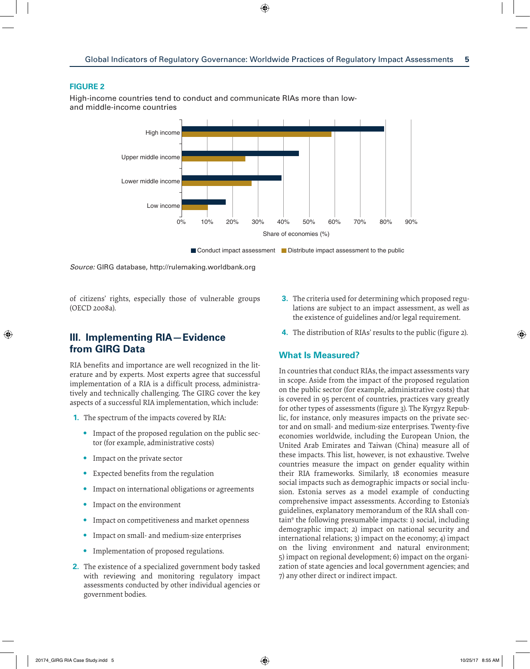High-income countries tend to conduct and communicate RIAs more than lowand middle-income countries



*Source:* GIRG database,<http://rulemaking.worldbank.org>

of citizens' rights, especially those of vulnerable groups (OECD 2008a).

# **III. Implementing RIA—Evidence from GIRG Data**

RIA benefits and importance are well recognized in the literature and by experts. Most experts agree that successful implementation of a RIA is a difficult process, administratively and technically challenging. The GIRG cover the key aspects of a successful RIA implementation, which include:

- **1.** The spectrum of the impacts covered by RIA:
	- **•**  Impact of the proposed regulation on the public sector (for example, administrative costs)
	- **•**  Impact on the private sector
	- **Expected benefits from the regulation**
	- Impact on international obligations or agreements
	- Impact on the environment
	- Impact on competitiveness and market openness
	- Impact on small- and medium-size enterprises
	- Implementation of proposed regulations.
- **2.** The existence of a specialized government body tasked with reviewing and monitoring regulatory impact assessments conducted by other individual agencies or government bodies.
- **3.** The criteria used for determining which proposed regulations are subject to an impact assessment, as well as the existence of guidelines and/or legal requirement.
- **4.** The distribution of RIAs' results to the public (figure 2).

## **What Is Measured?**

In countries that conduct RIAs, the impact assessments vary in scope. Aside from the impact of the proposed regulation on the public sector (for example, administrative costs) that is covered in 95 percent of countries, practices vary greatly for other types of assessments (figure 3). The Kyrgyz Republic, for instance, only measures impacts on the private sector and on small- and medium-size enterprises. Twenty-five economies worldwide, including the European Union, the United Arab Emirates and Taiwan (China) measure all of these impacts. This list, however, is not exhaustive. Twelve countries measure the impact on gender equality within their RIA frameworks. Similarly, 18 economies measure social impacts such as demographic impacts or social inclusion. Estonia serves as a model example of conducting comprehensive impact assessments. According to Estonia's guidelines, explanatory memorandum of the RIA shall contain9 the following presumable impacts: 1) social, including demographic impact; 2) impact on national security and international relations; 3) impact on the economy; 4) impact on the living environment and natural environment; 5) impact on regional development; 6) impact on the organization of state agencies and local government agencies; and 7) any other direct or indirect impact.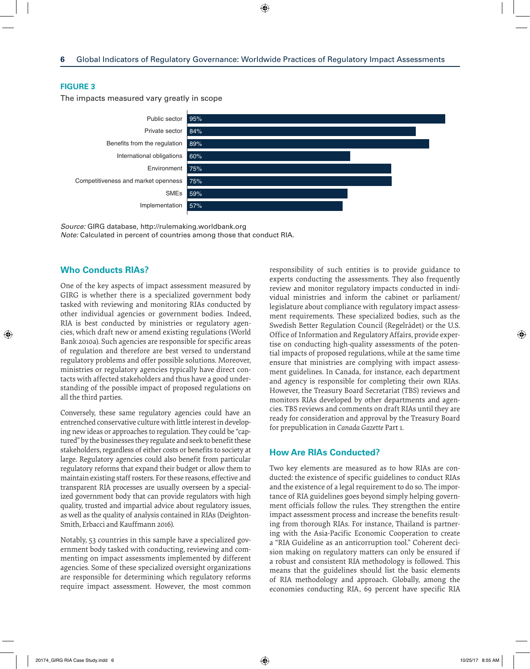The impacts measured vary greatly in scope



*Source:* GIRG database,<http://rulemaking.worldbank.org> *Note:* Calculated in percent of countries among those that conduct RIA.

# **Who Conducts RIAs?**

One of the key aspects of impact assessment measured by GIRG is whether there is a specialized government body tasked with reviewing and monitoring RIAs conducted by other individual agencies or government bodies. Indeed, RIA is best conducted by ministries or regulatory agencies, which draft new or amend existing regulations (World Bank 2010a). Such agencies are responsible for specific areas of regulation and therefore are best versed to understand regulatory problems and offer possible solutions. Moreover, ministries or regulatory agencies typically have direct contacts with affected stakeholders and thus have a good understanding of the possible impact of proposed regulations on all the third parties.

Conversely, these same regulatory agencies could have an entrenched conservative culture with little interest in developing new ideas or approaches to regulation. They could be "captured" by the businesses they regulate and seek to benefit these stakeholders, regardless of either costs or benefits to society at large. Regulatory agencies could also benefit from particular regulatory reforms that expand their budget or allow them to maintain existing staff rosters. For these reasons, effective and transparent RIA processes are usually overseen by a specialized government body that can provide regulators with high quality, trusted and impartial advice about regulatory issues, as well as the quality of analysis contained in RIAs (Deighton-Smith, Erbacci and Kauffmann 2016).

Notably, 53 countries in this sample have a specialized government body tasked with conducting, reviewing and commenting on impact assessments implemented by different agencies. Some of these specialized oversight organizations are responsible for determining which regulatory reforms require impact assessment. However, the most common

responsibility of such entities is to provide guidance to experts conducting the assessments. They also frequently review and monitor regulatory impacts conducted in individual ministries and inform the cabinet or parliament/ legislature about compliance with regulatory impact assessment requirements. These specialized bodies, such as the Swedish Better Regulation Council (Regelrådet) or the U.S. Office of Information and Regulatory Affairs, provide expertise on conducting high-quality assessments of the potential impacts of proposed regulations, while at the same time ensure that ministries are complying with impact assessment guidelines. In Canada, for instance, each department and agency is responsible for completing their own RIAs. However, the Treasury Board Secretariat (TBS) reviews and monitors RIAs developed by other departments and agencies. TBS reviews and comments on draft RIAs until they are ready for consideration and approval by the Treasury Board for prepublication in *Canada Gazette* Part 1.

## **How Are RIAs Conducted?**

Two key elements are measured as to how RIAs are conducted: the existence of specific guidelines to conduct RIAs and the existence of a legal requirement to do so. The importance of RIA guidelines goes beyond simply helping government officials follow the rules. They strengthen the entire impact assessment process and increase the benefits resulting from thorough RIAs. For instance, Thailand is partnering with the Asia-Pacific Economic Cooperation to create a "RIA Guideline as an anticorruption tool." Coherent decision making on regulatory matters can only be ensured if a robust and consistent RIA methodology is followed. This means that the guidelines should list the basic elements of RIA methodology and approach. Globally, among the economies conducting RIA, 69 percent have specific RIA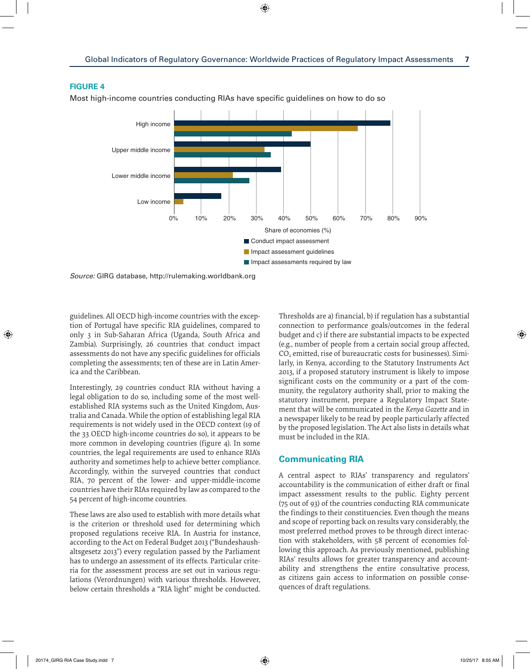Most high-income countries conducting RIAs have specific guidelines on how to do so



*Source:* GIRG database,<http://rulemaking.worldbank.org>

guidelines. All OECD high-income countries with the exception of Portugal have specific RIA guidelines, compared to only 3 in Sub-Saharan Africa (Uganda, South Africa and Zambia). Surprisingly, 26 countries that conduct impact assessments do not have any specific guidelines for officials completing the assessments; ten of these are in Latin America and the Caribbean.

Interestingly, 29 countries conduct RIA without having a legal obligation to do so, including some of the most wellestablished RIA systems such as the United Kingdom, Australia and Canada. While the option of establishing legal RIA requirements is not widely used in the OECD context (19 of the 33 OECD high-income countries do so), it appears to be more common in developing countries (figure 4). In some countries, the legal requirements are used to enhance RIA's authority and sometimes help to achieve better compliance. Accordingly, within the surveyed countries that conduct RIA, 70 percent of the lower- and upper-middle-income countries have their RIAs required by law as compared to the 54 percent of high-income countries.

These laws are also used to establish with more details what is the criterion or threshold used for determining which proposed regulations receive RIA. In Austria for instance, according to the Act on Federal Budget 2013 ("Bundeshaushaltsgesetz 2013") every regulation passed by the Parliament has to undergo an assessment of its effects. Particular criteria for the assessment process are set out in various regulations (Verordnungen) with various thresholds. However, below certain thresholds a "RIA light" might be conducted.

Thresholds are a) financial, b) if regulation has a substantial connection to performance goals/outcomes in the federal budget and c) if there are substantial impacts to be expected (e.g., number of people from a certain social group affected,  $CO<sub>2</sub>$  emitted, rise of bureaucratic costs for businesses). Similarly, in Kenya, according to the Statutory Instruments Act 2013, if a proposed statutory instrument is likely to impose significant costs on the community or a part of the community, the regulatory authority shall, prior to making the statutory instrument, prepare a Regulatory Impact Statement that will be communicated in the *Kenya Gazette* and in a newspaper likely to be read by people particularly affected by the proposed legislation. The Act also lists in details what must be included in the RIA.

# **Communicating RIA**

A central aspect to RIAs' transparency and regulators' accountability is the communication of either draft or final impact assessment results to the public. Eighty percent (75 out of 93) of the countries conducting RIA communicate the findings to their constituencies. Even though the means and scope of reporting back on results vary considerably, the most preferred method proves to be through direct interaction with stakeholders, with 58 percent of economies following this approach. As previously mentioned, publishing RIAs' results allows for greater transparency and accountability and strengthens the entire consultative process, as citizens gain access to information on possible consequences of draft regulations.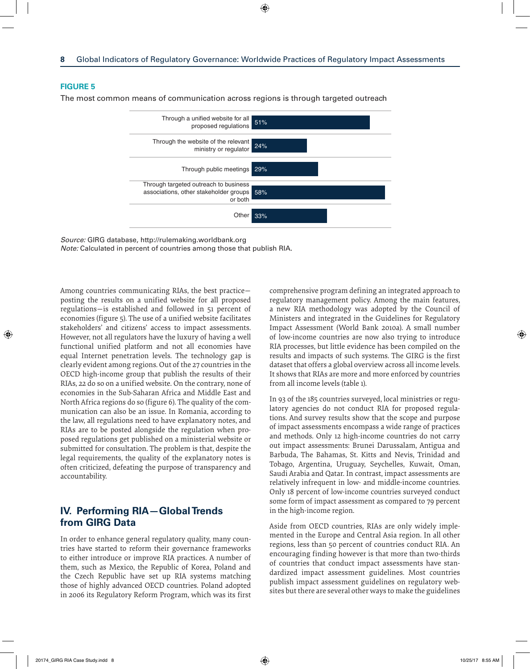The most common means of communication across regions is through targeted outreach



*Source:* GIRG database,<http://rulemaking.worldbank.org> *Note:* Calculated in percent of countries among those that publish RIA.

Among countries communicating RIAs, the best practice posting the results on a unified website for all proposed regulations—is established and followed in 51 percent of economies (figure 5). The use of a unified website facilitates stakeholders' and citizens' access to impact assessments. However, not all regulators have the luxury of having a well functional unified platform and not all economies have equal Internet penetration levels. The technology gap is clearly evident among regions. Out of the 27 countries in the OECD high-income group that publish the results of their RIAs, 22 do so on a unified website. On the contrary, none of economies in the Sub-Saharan Africa and Middle East and North Africa regions do so (figure 6). The quality of the communication can also be an issue. In Romania, according to the law, all regulations need to have explanatory notes, and RIAs are to be posted alongside the regulation when proposed regulations get published on a ministerial website or submitted for consultation. The problem is that, despite the legal requirements, the quality of the explanatory notes is often criticized, defeating the purpose of transparency and accountability.

# **IV. Performing RIA—Global Trends from GIRG Data**

In order to enhance general regulatory quality, many countries have started to reform their governance frameworks to either introduce or improve RIA practices. A number of them, such as Mexico, the Republic of Korea, Poland and the Czech Republic have set up RIA systems matching those of highly advanced OECD countries. Poland adopted in 2006 its Regulatory Reform Program, which was its first

comprehensive program defining an integrated approach to regulatory management policy. Among the main features, a new RIA methodology was adopted by the Council of Ministers and integrated in the Guidelines for Regulatory Impact Assessment (World Bank 2010a). A small number of low-income countries are now also trying to introduce RIA processes, but little evidence has been compiled on the results and impacts of such systems. The GIRG is the first dataset that offers a global overview across all income levels. It shows that RIAs are more and more enforced by countries from all income levels (table 1).

In 93 of the 185 countries surveyed, local ministries or regulatory agencies do not conduct RIA for proposed regulations. And survey results show that the scope and purpose of impact assessments encompass a wide range of practices and methods. Only 12 high-income countries do not carry out impact assessments: Brunei Darussalam, Antigua and Barbuda, The Bahamas, St. Kitts and Nevis, Trinidad and Tobago, Argentina, Uruguay, Seychelles, Kuwait, Oman, Saudi Arabia and Qatar. In contrast, impact assessments are relatively infrequent in low- and middle-income countries. Only 18 percent of low-income countries surveyed conduct some form of impact assessment as compared to 79 percent in the high-income region.

Aside from OECD countries, RIAs are only widely implemented in the Europe and Central Asia region. In all other regions, less than 50 percent of countries conduct RIA. An encouraging finding however is that more than two-thirds of countries that conduct impact assessments have standardized impact assessment guidelines. Most countries publish impact assessment guidelines on regulatory websites but there are several other ways to make the guidelines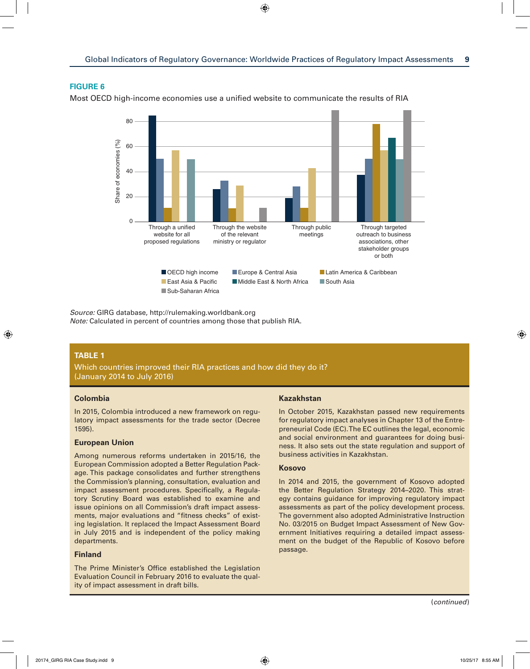



*Source:* GIRG database,<http://rulemaking.worldbank.org> *Note:* Calculated in percent of countries among those that publish RIA.

# **Table 1**

Which countries improved their RIA practices and how did they do it? (January 2014 to July 2016)

## **Colombia**

In 2015, Colombia introduced a new framework on regulatory impact assessments for the trade sector (Decree 1595).

#### **European Union**

Among numerous reforms undertaken in 2015/16, the European Commission adopted a Better Regulation Package. This package consolidates and further strengthens the Commission's planning, consultation, evaluation and impact assessment procedures. Specifically, a Regulatory Scrutiny Board was established to examine and issue opinions on all Commission's draft impact assessments, major evaluations and "fitness checks" of existing legislation. It replaced the Impact Assessment Board in July 2015 and is independent of the policy making departments.

#### **Finland**

The Prime Minister's Office established the Legislation Evaluation Council in February 2016 to evaluate the quality of impact assessment in draft bills.

#### **Kazakhstan**

In October 2015, Kazakhstan passed new requirements for regulatory impact analyses in Chapter 13 of the Entrepreneurial Code (EC). The EC outlines the legal, economic and social environment and guarantees for doing business. It also sets out the state regulation and support of business activities in Kazakhstan.

#### **Kosovo**

In 2014 and 2015, the government of Kosovo adopted the Better Regulation Strategy 2014–2020. This strategy contains guidance for improving regulatory impact assessments as part of the policy development process. The government also adopted Administrative Instruction No. 03/2015 on Budget Impact Assessment of New Government Initiatives requiring a detailed impact assessment on the budget of the Republic of Kosovo before passage.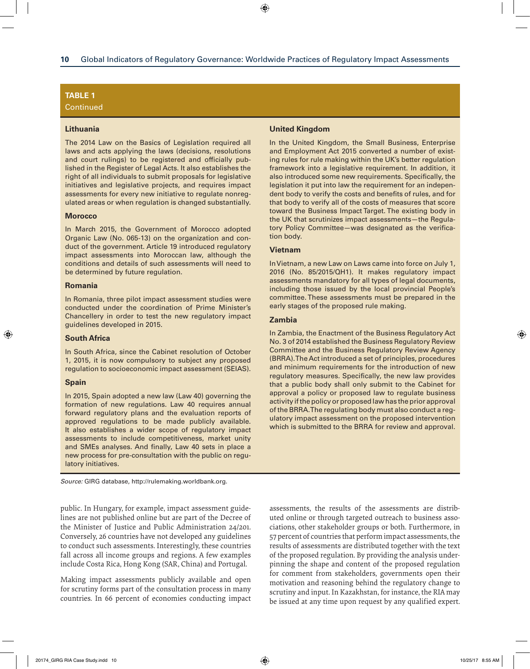# **Table 1**

**Continued** 

#### **Lithuania**

The 2014 Law on the Basics of Legislation required all laws and acts applying the laws (decisions, resolutions and court rulings) to be registered and officially published in the Register of Legal Acts. It also establishes the right of all individuals to submit proposals for legislative initiatives and legislative projects, and requires impact assessments for every new initiative to regulate nonregulated areas or when regulation is changed substantially.

#### **Morocco**

In March 2015, the Government of Morocco adopted Organic Law (No. 065-13) on the organization and conduct of the government. Article 19 introduced regulatory impact assessments into Moroccan law, although the conditions and details of such assessments will need to be determined by future regulation.

#### **Romania**

In Romania, three pilot impact assessment studies were conducted under the coordination of Prime Minister's Chancellery in order to test the new regulatory impact guidelines developed in 2015.

#### **South Africa**

In South Africa, since the Cabinet resolution of October 1, 2015, it is now compulsory to subject any proposed regulation to socioeconomic impact assessment (SEIAS).

#### **Spain**

In 2015, Spain adopted a new law (Law 40) governing the formation of new regulations. Law 40 requires annual forward regulatory plans and the evaluation reports of approved regulations to be made publicly available. It also establishes a wider scope of regulatory impact assessments to include competitiveness, market unity and SMEs analyses. And finally, Law 40 sets in place a new process for pre-consultation with the public on regulatory initiatives.

*Source:* GIRG database, http://rulemaking.worldbank.org.

public. In Hungary, for example, impact assessment guidelines are not published online but are part of the Decree of the Minister of Justice and Public Administration 24/201. Conversely, 26 countries have not developed any guidelines to conduct such assessments. Interestingly, these countries fall across all income groups and regions. A few examples include Costa Rica, Hong Kong (SAR, China) and Portugal.

Making impact assessments publicly available and open for scrutiny forms part of the consultation process in many countries. In 66 percent of economies conducting impact

#### **United Kingdom**

In the United Kingdom, the Small Business, Enterprise and Employment Act 2015 converted a number of existing rules for rule making within the UK's better regulation framework into a legislative requirement. In addition, it also introduced some new requirements. Specifically, the legislation it put into law the requirement for an independent body to verify the costs and benefits of rules, and for that body to verify all of the costs of measures that score toward the Business Impact Target. The existing body in the UK that scrutinizes impact assessments—the Regulatory Policy Committee—was designated as the verification body.

#### **Vietnam**

In Vietnam, a new Law on Laws came into force on July 1, 2016 (No. 85/2015/QH1). It makes regulatory impact assessments mandatory for all types of legal documents, including those issued by the local provincial People's committee. These assessments must be prepared in the early stages of the proposed rule making.

#### **Zambia**

In Zambia, the Enactment of the Business Regulatory Act No. 3 of 2014 established the Business Regulatory Review Committee and the Business Regulatory Review Agency (BRRA). The Act introduced a set of principles, procedures and minimum requirements for the introduction of new regulatory measures. Specifically, the new law provides that a public body shall only submit to the Cabinet for approval a policy or proposed law to regulate business activity if the policy or proposed law has the prior approval of the BRRA. The regulating body must also conduct a regulatory impact assessment on the proposed intervention which is submitted to the BRRA for review and approval.

assessments, the results of the assessments are distributed online or through targeted outreach to business associations, other stakeholder groups or both. Furthermore, in 57 percent of countries that perform impact assessments, the results of assessments are distributed together with the text of the proposed regulation. By providing the analysis underpinning the shape and content of the proposed regulation for comment from stakeholders, governments open their motivation and reasoning behind the regulatory change to scrutiny and input. In Kazakhstan, for instance, the RIA may be issued at any time upon request by any qualified expert.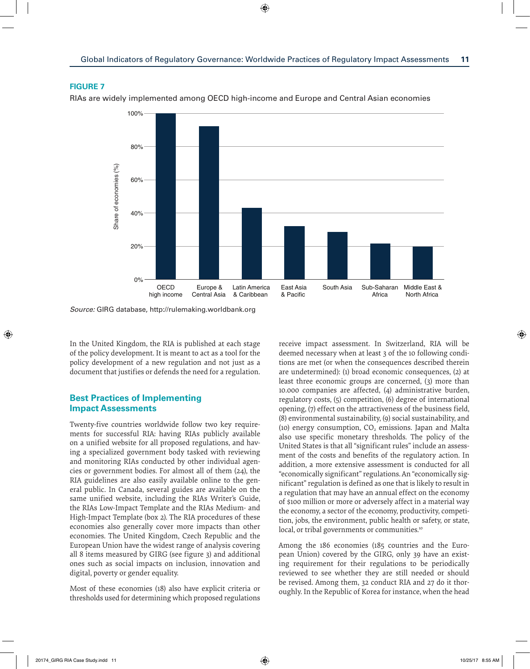

RIAs are widely implemented among OECD high-income and Europe and Central Asian economies



*Source:* GIRG database,<http://rulemaking.worldbank.org>

In the United Kingdom, the RIA is published at each stage of the policy development. It is meant to act as a tool for the policy development of a new regulation and not just as a document that justifies or defends the need for a regulation.

# **Best Practices of Implementing Impact Assessments**

Twenty-five countries worldwide follow two key requirements for successful RIA: having RIAs publicly available on a unified website for all proposed regulations, and having a specialized government body tasked with reviewing and monitoring RIAs conducted by other individual agencies or government bodies. For almost all of them (24), the RIA guidelines are also easily available online to the general public. In Canada, several guides are available on the same unified website, including the RIAs Writer's Guide, the RIAs Low-Impact Template and the RIAs Medium- and High-Impact Template (box 2). The RIA procedures of these economies also generally cover more impacts than other economies. The United Kingdom, Czech Republic and the European Union have the widest range of analysis covering all 8 items measured by GIRG (see figure 3) and additional ones such as social impacts on inclusion, innovation and digital, poverty or gender equality.

Most of these economies (18) also have explicit criteria or thresholds used for determining which proposed regulations

receive impact assessment. In Switzerland, RIA will be deemed necessary when at least 3 of the 10 following conditions are met (or when the consequences described therein are undetermined): (1) broad economic consequences, (2) at least three economic groups are concerned, (3) more than 10.000 companies are affected, (4) administrative burden, regulatory costs, (5) competition, (6) degree of international opening, (7) effect on the attractiveness of the business field, (8) environmental sustainability, (9) social sustainability, and (10) energy consumption,  $CO<sub>2</sub>$  emissions. Japan and Malta also use specific monetary thresholds. The policy of the United States is that all "significant rules" include an assessment of the costs and benefits of the regulatory action. In addition, a more extensive assessment is conducted for all "economically significant" regulations. An "economically significant" regulation is defined as one that is likely to result in a regulation that may have an annual effect on the economy of \$100 million or more or adversely affect in a material way the economy, a sector of the economy, productivity, competition, jobs, the environment, public health or safety, or state, local, or tribal governments or communities.<sup>10</sup>

Among the 186 economies (185 countries and the European Union) covered by the GIRG, only 39 have an existing requirement for their regulations to be periodically reviewed to see whether they are still needed or should be revised. Among them, 32 conduct RIA and 27 do it thoroughly. In the Republic of Korea for instance, when the head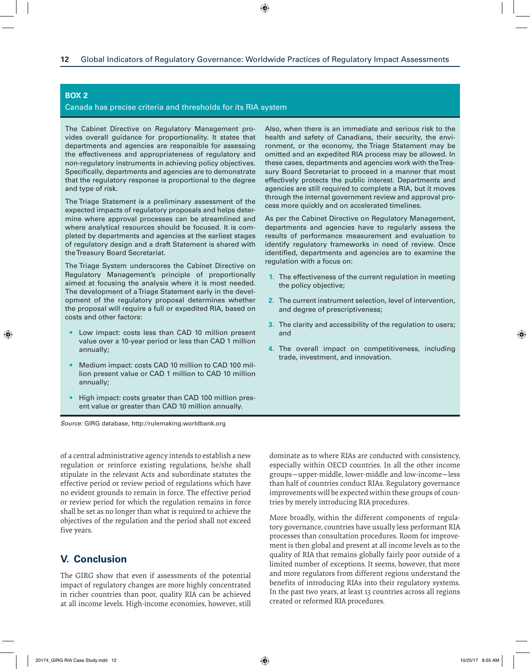# **Box 2**

#### Canada has precise criteria and thresholds for its RIA system

The Cabinet Directive on Regulatory Management provides overall guidance for proportionality. It states that departments and agencies are responsible for assessing the effectiveness and appropriateness of regulatory and non-regulatory instruments in achieving policy objectives. Specifically, departments and agencies are to demonstrate that the regulatory response is proportional to the degree and type of risk.

The Triage Statement is a preliminary assessment of the expected impacts of regulatory proposals and helps determine where approval processes can be streamlined and where analytical resources should be focused. It is completed by departments and agencies at the earliest stages of regulatory design and a draft Statement is shared with the Treasury Board Secretariat.

The Triage System underscores the Cabinet Directive on Regulatory Management's principle of proportionally aimed at focusing the analysis where it is most needed. The development of a Triage Statement early in the development of the regulatory proposal determines whether the proposal will require a full or expedited RIA, based on costs and other factors:

- Low impact: costs less than CAD 10 million present value over a 10-year period or less than CAD 1 million annually;
- Medium impact: costs CAD 10 million to CAD 100 million present value or CAD 1 million to CAD 10 million annually;
- High impact: costs greater than CAD 100 million present value or greater than CAD 10 million annually.

*Source:* GIRG database, http://rulemaking.worldbank.org

of a central administrative agency intends to establish a new regulation or reinforce existing regulations, he/she shall stipulate in the relevant Acts and subordinate statutes the effective period or review period of regulations which have no evident grounds to remain in force. The effective period or review period for which the regulation remains in force shall be set as no longer than what is required to achieve the objectives of the regulation and the period shall not exceed five years.

# **V. Conclusion**

The GIRG show that even if assessments of the potential impact of regulatory changes are more highly concentrated in richer countries than poor, quality RIA can be achieved at all income levels. High-income economies, however, still Also, when there is an immediate and serious risk to the health and safety of Canadians, their security, the environment, or the economy, the Triage Statement may be omitted and an expedited RIA process may be allowed. In these cases, departments and agencies work with the Treasury Board Secretariat to proceed in a manner that most effectively protects the public interest. Departments and agencies are still required to complete a RIA, but it moves through the internal government review and approval process more quickly and on accelerated timelines.

As per the Cabinet Directive on Regulatory Management, departments and agencies have to regularly assess the results of performance measurement and evaluation to identify regulatory frameworks in need of review. Once identified, departments and agencies are to examine the regulation with a focus on:

- **1.** The effectiveness of the current regulation in meeting the policy objective;
- **2.** The current instrument selection, level of intervention, and degree of prescriptiveness;
- **3.** The clarity and accessibility of the regulation to users; and
- **4.** The overall impact on competitiveness, including trade, investment, and innovation.

dominate as to where RIAs are conducted with consistency, especially within OECD countries. In all the other income groups—upper-middle, lower-middle and low-income—less than half of countries conduct RIAs. Regulatory governance improvements will be expected within these groups of countries by merely introducing RIA procedures.

More broadly, within the different components of regulatory governance, countries have usually less performant RIA processes than consultation procedures. Room for improvement is then global and present at all income levels as to the quality of RIA that remains globally fairly poor outside of a limited number of exceptions. It seems, however, that more and more regulators from different regions understand the benefits of introducing RIAs into their regulatory systems. In the past two years, at least 13 countries across all regions created or reformed RIA procedures.